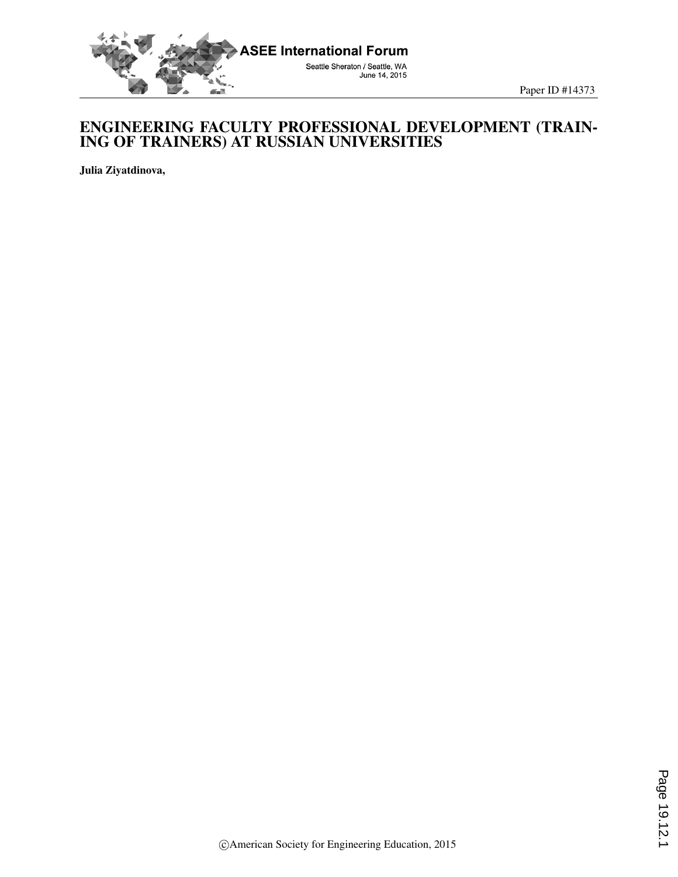

## ENGINEERING FACULTY PROFESSIONAL DEVELOPMENT (TRAIN-ING OF TRAINERS) AT RUSSIAN UNIVERSITIES

Julia Ziyatdinova,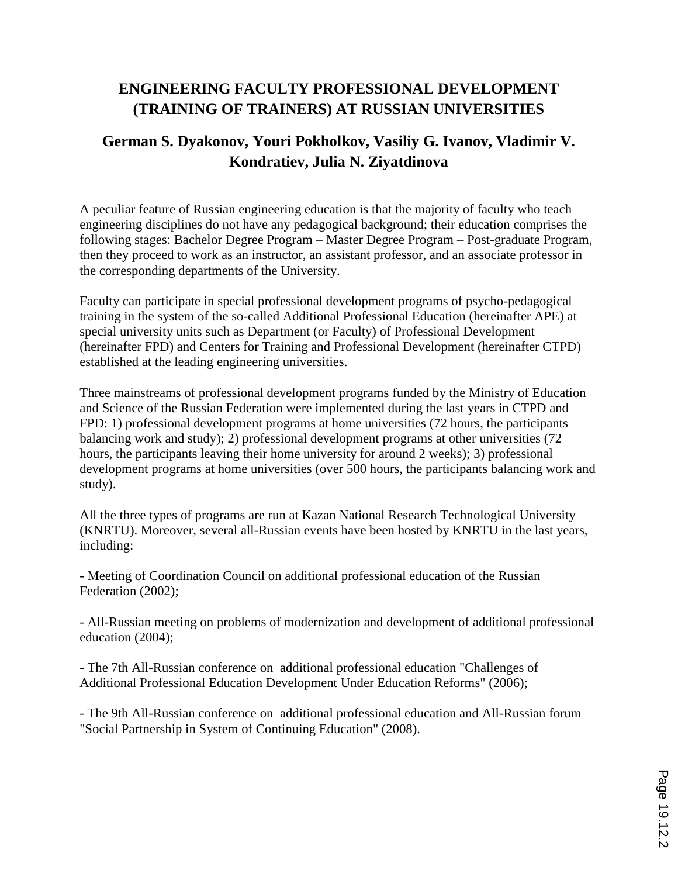## **ENGINEERING FACULTY PROFESSIONAL DEVELOPMENT (TRAINING OF TRAINERS) AT RUSSIAN UNIVERSITIES**

## **German S. Dyakonov, Youri Pokholkov, Vasiliy G. Ivanov, Vladimir V. Kondratiev, Julia N. Ziyatdinova**

A peculiar feature of Russian engineering education is that the majority of faculty who teach engineering disciplines do not have any pedagogical background; their education comprises the following stages: Bachelor Degree Program – Master Degree Program – Post-graduate Program, then they proceed to work as an instructor, an assistant professor, and an associate professor in the corresponding departments of the University.

Faculty can participate in special professional development programs of psycho-pedagogical training in the system of the so-called Additional Professional Education (hereinafter APE) at special university units such as Department (or Faculty) of Professional Development (hereinafter FPD) and Centers for Training and Professional Development (hereinafter CTPD) established at the leading engineering universities.

Three mainstreams of professional development programs funded by the Ministry of Education and Science of the Russian Federation were implemented during the last years in CTPD and FPD: 1) professional development programs at home universities (72 hours, the participants balancing work and study); 2) professional development programs at other universities (72 hours, the participants leaving their home university for around 2 weeks); 3) professional development programs at home universities (over 500 hours, the participants balancing work and study).

All the three types of programs are run at Kazan National Research Technological University (KNRTU). Moreover, several all-Russian events have been hosted by KNRTU in the last years, including:

- Meeting of Coordination Council on additional professional education of the Russian Federation (2002);

- All-Russian meeting on problems of modernization and development of additional professional education (2004);

- The 7th All-Russian conference on additional professional education "Challenges of Additional Professional Education Development Under Education Reforms" (2006);

- The 9th All-Russian conference on additional professional education and All-Russian forum "Social Partnership in System of Continuing Education" (2008).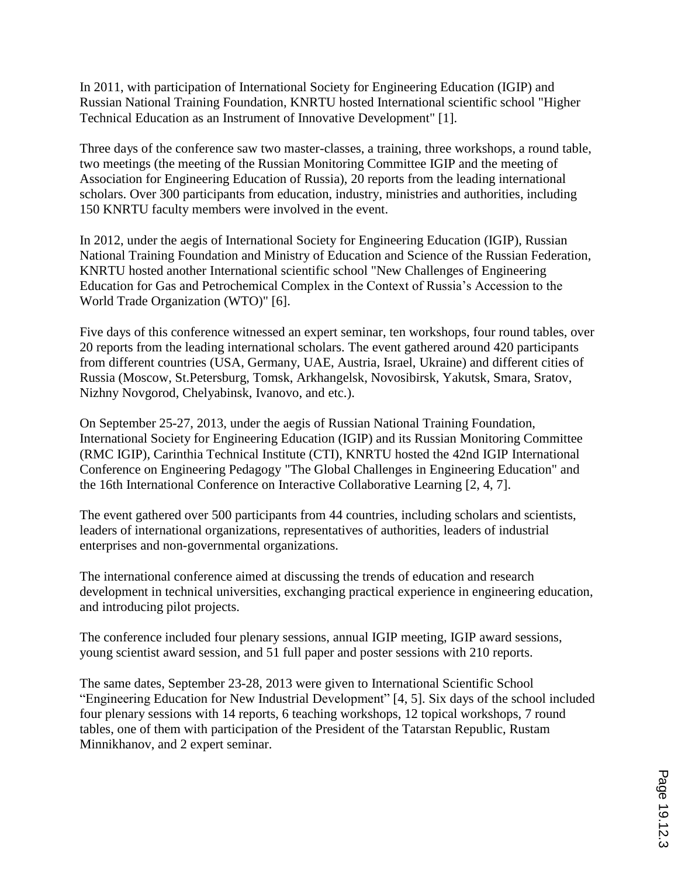In 2011, with participation of International Society for Engineering Education (IGIP) and Russian National Training Foundation, KNRTU hosted International scientific school "Higher Technical Education as an Instrument of Innovative Development" [1].

Three days of the conference saw two master-classes, a training, three workshops, a round table, two meetings (the meeting of the Russian Monitoring Committee IGIP and the meeting of Association for Engineering Education of Russia), 20 reports from the leading international scholars. Over 300 participants from education, industry, ministries and authorities, including 150 KNRTU faculty members were involved in the event.

In 2012, under the aegis of International Society for Engineering Education (IGIP), Russian National Training Foundation and Ministry of Education and Science of the Russian Federation, KNRTU hosted another International scientific school "New Challenges of Engineering Education for Gas and Petrochemical Complex in the Context of Russia's Accession to the World Trade Organization (WTO)" [6].

Five days of this conference witnessed an expert seminar, ten workshops, four round tables, over 20 reports from the leading international scholars. The event gathered around 420 participants from different countries (USA, Germany, UAE, Austria, Israel, Ukraine) and different cities of Russia (Moscow, St.Petersburg, Tomsk, Arkhangelsk, Novosibirsk, Yakutsk, Smara, Sratov, Nizhny Novgorod, Chelyabinsk, Ivanovo, and etc.).

On September 25-27, 2013, under the aegis of Russian National Training Foundation, International Society for Engineering Education (IGIP) and its Russian Monitoring Committee (RMC IGIP), Carinthia Technical Institute (CTI), KNRTU hosted the 42nd IGIP International Conference on Engineering Pedagogy "The Global Challenges in Engineering Education" and the 16th International Conference on Interactive Collaborative Learning [2, 4, 7].

The event gathered over 500 participants from 44 countries, including scholars and scientists, leaders of international organizations, representatives of authorities, leaders of industrial enterprises and non-governmental organizations.

The international conference aimed at discussing the trends of education and research development in technical universities, exchanging practical experience in engineering education, and introducing pilot projects.

The conference included four plenary sessions, annual IGIP meeting, IGIP award sessions, young scientist award session, and 51 full paper and poster sessions with 210 reports.

The same dates, September 23-28, 2013 were given to International Scientific School "Engineering Education for New Industrial Development" [4, 5]. Six days of the school included four plenary sessions with 14 reports, 6 teaching workshops, 12 topical workshops, 7 round tables, one of them with participation of the President of the Tatarstan Republic, Rustam Minnikhanov, and 2 expert seminar.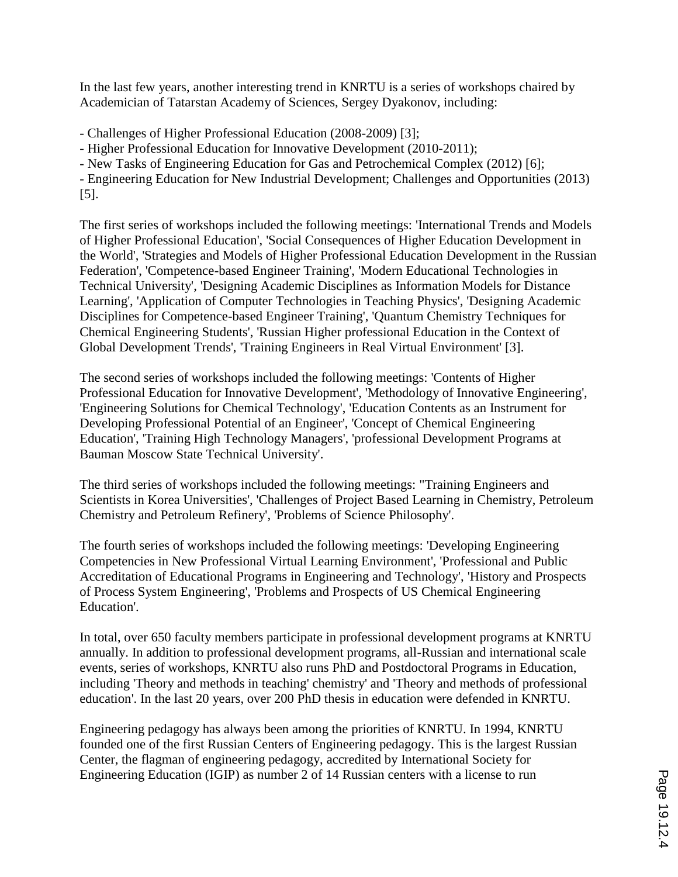In the last few years, another interesting trend in KNRTU is a series of workshops chaired by Academician of Tatarstan Academy of Sciences, Sergey Dyakonov, including:

- Challenges of Higher Professional Education (2008-2009) [3];

- Higher Professional Education for Innovative Development (2010-2011);

- New Tasks of Engineering Education for Gas and Petrochemical Complex (2012) [6];

- Engineering Education for New Industrial Development; Challenges and Opportunities (2013) [5].

The first series of workshops included the following meetings: 'International Trends and Models of Higher Professional Education', 'Social Consequences of Higher Education Development in the World', 'Strategies and Models of Higher Professional Education Development in the Russian Federation', 'Competence-based Engineer Training', 'Modern Educational Technologies in Technical University', 'Designing Academic Disciplines as Information Models for Distance Learning', 'Application of Computer Technologies in Teaching Physics', 'Designing Academic Disciplines for Competence-based Engineer Training', 'Quantum Chemistry Techniques for Chemical Engineering Students', 'Russian Higher professional Education in the Context of Global Development Trends', 'Training Engineers in Real Virtual Environment' [3].

The second series of workshops included the following meetings: 'Contents of Higher Professional Education for Innovative Development', 'Methodology of Innovative Engineering', 'Engineering Solutions for Chemical Technology', 'Education Contents as an Instrument for Developing Professional Potential of an Engineer', 'Concept of Chemical Engineering Education', 'Training High Technology Managers', 'professional Development Programs at Bauman Moscow State Technical University'.

The third series of workshops included the following meetings: "Training Engineers and Scientists in Korea Universities', 'Challenges of Project Based Learning in Chemistry, Petroleum Chemistry and Petroleum Refinery', 'Problems of Science Philosophy'.

The fourth series of workshops included the following meetings: 'Developing Engineering Competencies in New Professional Virtual Learning Environment', 'Professional and Public Accreditation of Educational Programs in Engineering and Technology', 'History and Prospects of Process System Engineering', 'Problems and Prospects of US Chemical Engineering Education'.

In total, over 650 faculty members participate in professional development programs at KNRTU annually. In addition to professional development programs, all-Russian and international scale events, series of workshops, KNRTU also runs PhD and Postdoctoral Programs in Education, including 'Theory and methods in teaching' chemistry' and 'Theory and methods of professional education'. In the last 20 years, over 200 PhD thesis in education were defended in KNRTU.

Engineering pedagogy has always been among the priorities of KNRTU. In 1994, KNRTU founded one of the first Russian Centers of Engineering pedagogy. This is the largest Russian Center, the flagman of engineering pedagogy, accredited by International Society for Engineering Education (IGIP) as number 2 of 14 Russian centers with a license to run